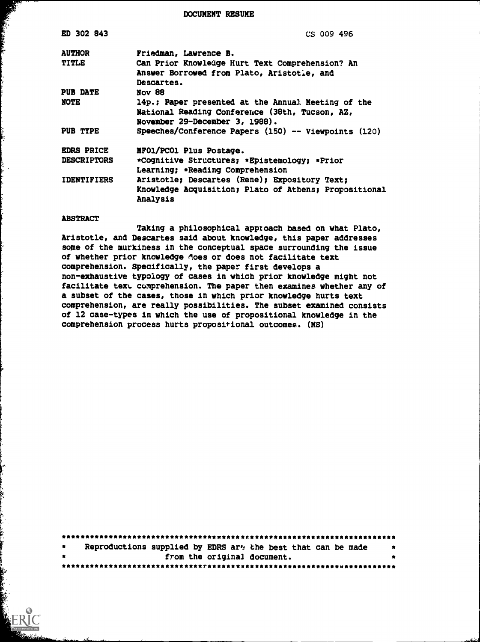DOCUMENT RESUME

| ED 302 843         | CS 009 496                                            |  |  |  |  |
|--------------------|-------------------------------------------------------|--|--|--|--|
| <b>AUTHOR</b>      | Friedman, Lawrence B.                                 |  |  |  |  |
| <b>TITLE</b>       | Can Prior Knowledge Hurt Text Comprehension? An       |  |  |  |  |
|                    | Answer Borrowed from Plato, Aristotle, and            |  |  |  |  |
|                    | Descartes.                                            |  |  |  |  |
| PUB DATE           | Nov 88                                                |  |  |  |  |
| NOTE               | 14p.; Paper presented at the Annual Meeting of the    |  |  |  |  |
|                    | National Reading Conference (38th, Tucson, AZ,        |  |  |  |  |
|                    | November 29-December 3, 1988).                        |  |  |  |  |
| PUB TYPE           | Speeches/Conference Papers (150) -- Viewpoints (120)  |  |  |  |  |
| <b>EDRS PRICE</b>  | MF01/PC01 Plus Postage.                               |  |  |  |  |
| <b>DESCRIPTORS</b> | *Cognitive Structures; *Epistemology; *Prior          |  |  |  |  |
|                    | Learning; *Reading Comprehension                      |  |  |  |  |
| <b>IDENTIFIERS</b> | Aristotle; Descartes (Rene); Expository Text;         |  |  |  |  |
|                    | Knowledge Acquisition; Plato of Athens; Propositional |  |  |  |  |
|                    | Analysis                                              |  |  |  |  |
|                    |                                                       |  |  |  |  |

#### ABSTRACT

Taking a philosophical approach based on what Plato, Aristotle, and Descartes said about knowledge, this paper addresses some of the murkiness in the conceptual space surrounding the issue of whether prior knowledge does or does not facilitate text comprehension. Specifically, the paper first develops a non-exhaustive typology of cases in which prior knowledge might not facilitate text comprehension. The paper then examines whether any of a subset of the cases, those in which prior knowledge hurts text comprehension, are really possibilities. The subset examined consists of 12 case-types in which the use of propositional knowledge in the comprehension process hurts propositional outcomes. (MS)

| $\bullet$ | Reproductions supplied by EDRS ar. the best that can be made |  |  |                             |  |  |  |  |
|-----------|--------------------------------------------------------------|--|--|-----------------------------|--|--|--|--|
| $\bullet$ |                                                              |  |  | from the original document. |  |  |  |  |
|           |                                                              |  |  |                             |  |  |  |  |

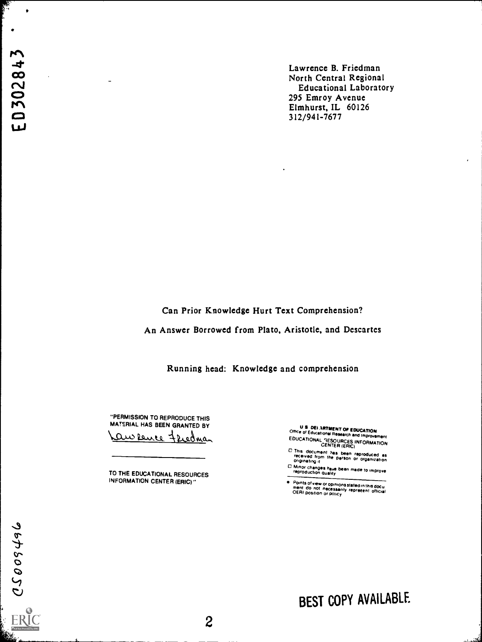de Lawrence B. Friedman North Central Regional<br>
Educational Laboratory<br>
COL COM 295 Emroy Avenue<br>Elmhurst, IL 60126  $\blacksquare$ 312/941-7677

Can Prior Knowledge Hurt Text Comprehension?

An Answer Borrowed from Plato, Aristotle, and Descartes

Running head: Knowledge and comprehension

"PERMISSION TO REPRODUCE THIS MATERIAL HAS BEEN GRANTED BY <u>an sence</u> Fredman

TO THE EDUCATIONAL RESOURCES INFORMATION CENTER (ERIC)"

U S DEI ARTMENT OF EDUCATION<br>Office of Educational Research and Improvement

- Research and improvement EDUCATIONAL IESOURCES INFORMATION CENTER (ERICI
- 0 This document has been reproduced as<br>received from the person or organization<br>originating it
- 0 Minor changes have been made to improve reproduction Quality

e Points of view or opinions stated in this docu<br>ment do not necessarily represent official<br>OERI position or policy

BEST COPY AVAILABLE

 $\ddot{\mathbf{r}}$  $\boldsymbol{\omega}$ t. Library and the second control of the second control of the second control of the second control of the second control of the second control of the second control of the second control of the second control of the secon

ester<br>Lister

 $\bullet$ 

 $\bullet$ 

'Aii...........................w.---.,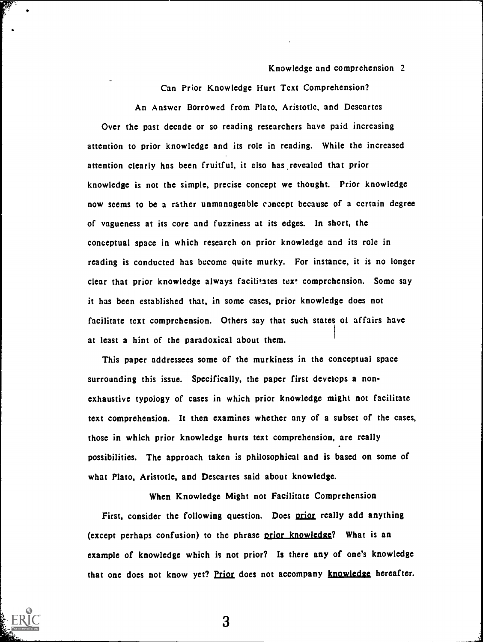Can Prior Knowledge Hurt Text Comprehension?

An Answer Borrowed from Plato, Aristotle, and Descartes Over the past decade or so reading researchers have paid increasing attention to prior knowledge and its role in reading. While the increased attention clearly has been fruitful, it also has revealed that prior knowledge is not the simple, precise concept we thought. Prior knowledge now seems to be a rather unmanageable concept because of a certain degree of vagueness at its core and fuzziness at its edges. In short, the conceptual space in which research on prior knowledge and its role in reading is conducted has become quite murky. For instance, it is no longer clear that prior knowledge always facilitates text comprehension. Some say it has been established that, in some cases, prior knowledge does not facilitate text comprehension. Others say that such states of affairs have at least a hint of the paradoxical about them.

This paper addressees some of the murkiness in the conceptual space surrounding this issue. Specifically, the paper first develops a nonexhaustive typology of cases in which prior knowledge might not facilitate text comprehension. It then examines whether any of a subset of the cases, those in which prior knowledge hurts text comprehension, are really possibilities. The approach taken is philosophical and is based on some of what Plato, Aristotle, and Descartes said about knowledge.

When Knowledge Might not Facilitate Comprehension First, consider the following question. Does prior really add anything (except perhaps confusion) to the phrase prior knowledge? What is an example of knowledge which is not prior? Is there any of one's knowledge that one does not know yet? Prior does not accompany knowledge hereafter.

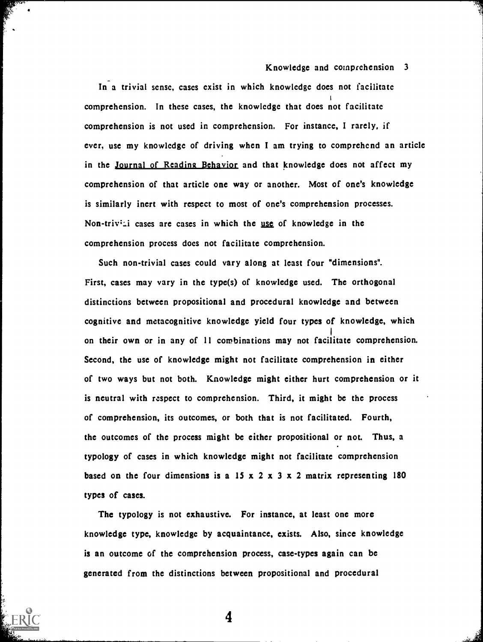In a trivial sense, cases exist in which knowledge does not facilitate comprehension. In these cases, the knowledge that does not facilitate comprehension is not used in comprehension. For instance, I rarely, if ever, use my knowledge of driving when I am trying to comprehend an article in the Journal of Reading Behavior and that knowledge does not affect my comprehension of that article one way or another. Most of one's knowledge is similarly inert with respect to most of one's comprehension processes. Non-triv<sup>1</sup>: cases are cases in which the <u>use</u> of knowledge in the comprehension process does not facilitate comprehension.

Such non-trivial cases could vary along at least four "dimensions". First, cases may vary in the type(s) of knowledge used. The orthogonal distinctions between propositional and procedural knowledge and between cognitive and metacognitive knowledge yield four types of knowledge, which on their own or in any of 11 combinations may not facilitate comprehension. Second, the use of knowledge might not facilitate comprehension in either of two ways but not both. Knowledge might either hurt comprehension or it is neutral with respect to comprehension. Third, it might be the process of comprehension, its outcomes, or both that is not facilitated. Fourth, the outcomes of the process might be either propositional or not. Thus, a typology of cases in which knowledge might not facilitate comprehension based on the four dimensions is a 15 x 2 x 3 x 2 matrix representing 180 types of cases.

The typology is not exhaustive. For instance, at least one more knowledge type, knowledge by acquaintance, exists. Also, since knowledge is an outcome of the comprehension process, case-types again can be generated from the distinctions between propositional and procedural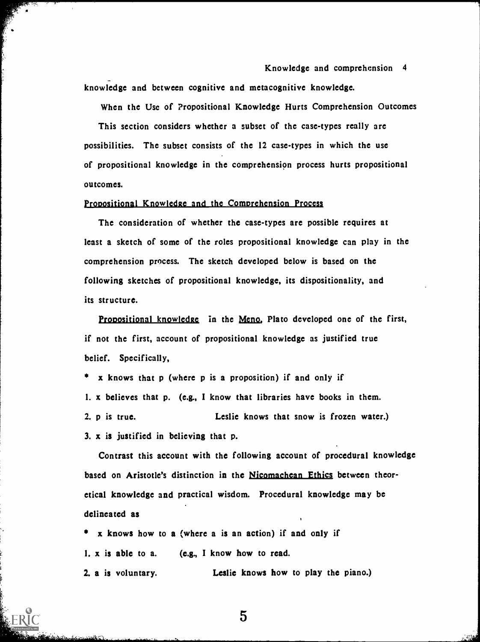Knowledge and comprehension 4 knowledge and between cognitive and metacognitive knowledge.

When the Use of Propositional Knowledge Hurts Comprehension Outcomes This section considers whether a subset of the case-types really are possibilities. The subset consists of the 12 case-types in which the use of propositional knowledge in the comprehension process hurts propositional outcomes.

#### Propositional Knowledge and the Comprehension Process

The consideration of whether the case-types are possible requires at least a sketch of some of the roles propositional knowledge can play in the comprehension process. The sketch developed below is based on the following sketches of propositional knowledge, its dispositionality, and its structure.

Propositional knowledge in the Meno, Plato developed one of the first, if not the first, account of propositional knowledge as justified true belief. Specifically,

x knows that p (where p is a proposition) if and only if 1. x believes that p. (e.g., I know that libraries have books in them. 2. p is true. Leslie knows that snow is frozen water.) 3. x is justified in believing that p.

Contrast this account with the following account of procedural knowledge based on Aristotle's distinction in the Nicomachean Ethics between theoretical knowledge and practical wisdom. Procedural knowledge may be delineated as

x knows how to a (where a is an action) if and only if 1. x is able to a. (e.g., I know how to read. 2. a is voluntary. Leslie knows how to play the piano.)

 $\overline{5}$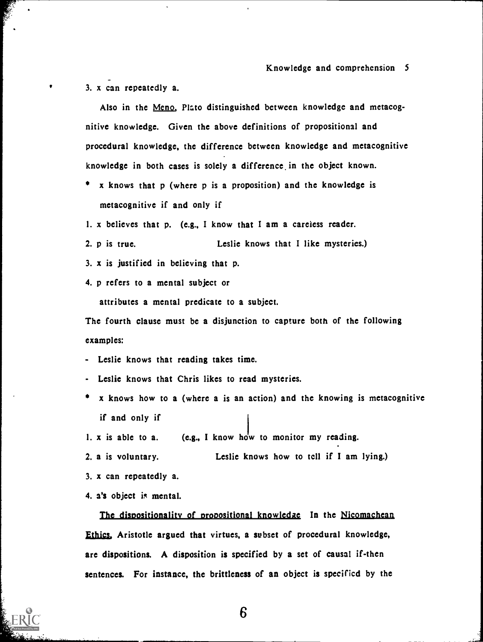3. x can repeatedly a.

Also in the Meno, Plato distinguished between knowledge and metacognitive knowledge. Given the above definitions of propositional and procedural knowledge, the difference between knowledge and metacognitive knowledge in both cases is solely a difference, in the object known.

- \* x knows that p (where p is a proposition) and the knowledge is metacognitive if and only if
- 1. x believes that p. (e.g., I know that I am a careless reader.
- 2. p is true. Leslie knows that I like mysteries.)
- 3. x is justified in believing that p.
- 4. p refers to a mental subject or

attributes a mental predicate to a subject.

The fourth clause must be a disjunction to capture both of the following examples:

- Leslie knows that reading takes time.
- Leslie knows that Chris likes to read mysteries.
- x knows how to a (where a is an action) and the knowing is metacognitive if and only if
- 1.  $x$  is able to a. (e.g., I know how to monitor my reading.
- 2. a is voluntary. Leslie knows how to tell if I am lying.)
- 3. x can repeatedly a.
- 4. a's object is mental.

The dispositionality of propositional knowledge In the Nicomachean Ethics, Aristotle argued that virtues, a subset of procedural knowledge, are dispositions. A disposition is specified by a set of causal if-then sentences. For instance, the brittleness of an object is specified by the

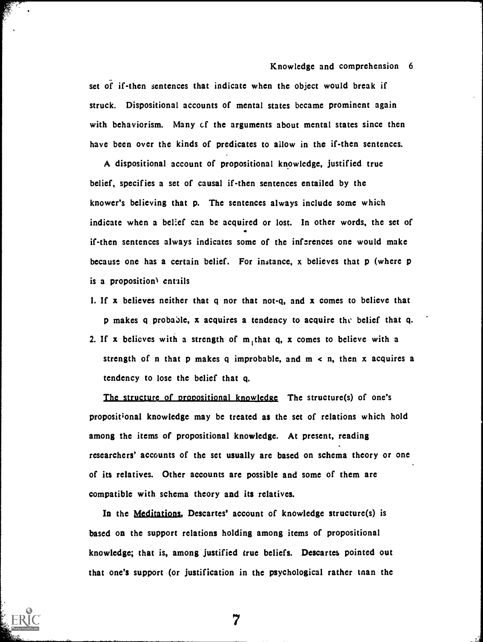set of if-then sentences that indicate when the object would break if struck. Dispositional accounts of mental states became prominent again with behaviorism. Many cf the arguments about mental states since then have been over the kinds of predicates to allow in the if-then sentences.

A dispositional account of propositional knowledge, justified true belief, specifies a set of causal if-then sentences entailed by the knower's believing that p. The sentences always include some which indicate when a belief can be acquired or lost. In other words, the set of if-then sentences always indicates some of the inferences one would make because one has a certain belief. For instance, x believes that p (where p is a proposition) entails

- 1. If x believes neither that  $q$  nor that not- $q$ , and x comes to believe that p makes q probable, x acquires a tendency to acquire the belief that q.
- 2. If x believes with a strength of  $m<sub>i</sub>$ , that q, x comes to believe with a strength of n that p makes q improbable, and  $m < n$ , then x acquires a tendency to lose the belief that q.

The structure of propositional knowledge The structure(s) of one's propositional knowledge may be treated as the set of relations which hold among the items of propositional knowledge. At present, reading researchers' accounts of the set usually are based on schema theory or one of its relatives. Other accounts are possible and some of them are compatible with schema theory and its relatives.

In the Meditations, Descartes' account of knowledge structure(s) is based on the support relations holding among items of propositional knowledge; that is, among justified true beliefs. Descartes pointed out that one's support (or justification in the psychological rather tnan the

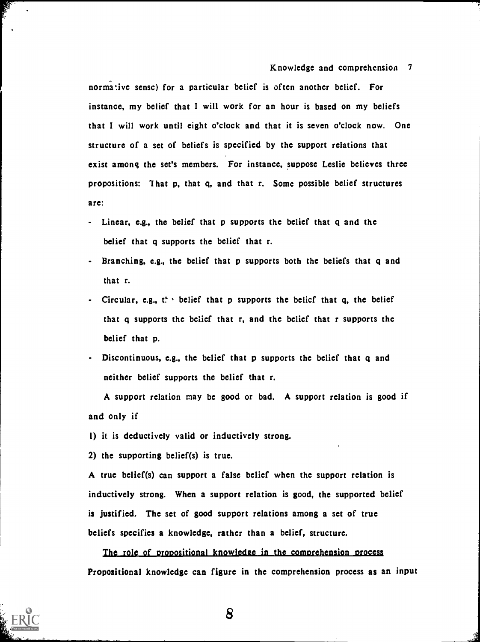normative sense) for a particular belief is often another belief. For instance, my belief that I will work for an hour is based on my beliefs that I will work until eight o'clock and that it is seven o'clock now. One structure of a set of beliefs is specified by the support relations that exist among the set's members. For instance, suppose Leslie believes three propositions: 1 hat p, that q, and that r. Some possible belief structures are:

- Linear, e.g., the belief that p supports the belief that q and the belief that q supports the belief that r.
- Branching, e.g., the belief that p supports both the beliefs that q and that r.
- Circular, e.g.,  $t^L$  belief that p supports the belief that q, the belief that q supports the belief that r, and the belief that r supports the belief that p.
- Discontinuous, e.g., the belief that p supports the belief that q and neither belief supports the belief that r.

A support relation may be good or bad. A support relation is good if and only if

1) it is deductively valid or inductively strong.

2) the supporting belief(s) is true.

A true belief(s) can support a false belief when the support relation is inductively strong. When a support relation is good, the supported belief is justified. The set of good support relations among a set of true beliefs specifies a knowledge, rather than a belief, structure.

The role of propositional knowledge in the comprehension process Propositional knowledge can figure in the comprehension process as an input

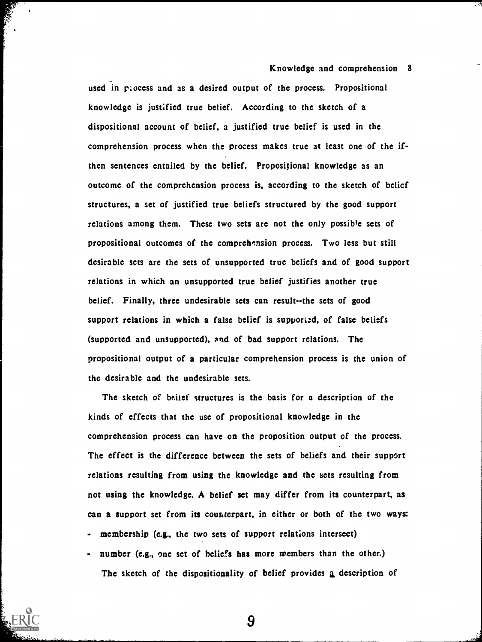used in process and as a desired output of the process. Propositional knowledge is justified true belief. According to the sketch of a dispositional account of belief, a justified true belief is used in the comprehension process when the process makes true at least one of the ifthen sentences entailed by the belief. Propositional knowledge as an outcome of the comprehension process is, according to the sketch of belief structures, a set of justified true beliefs structured by the good support relations among them. These two sets are not the only possible sets of propositional outcomes of the comprehension process. Two less but still desirable sets are the sets of unsupported true beliefs and of good support relations in which an unsupported true belief justifies another true belief. Finally, three undesirable sets can result--the sets of good support relations in which a false belief is supported, of false beliefs (supported and unsupported), and of bad support relations. The propositional output of a particular comprehension process is the union of the desirable and the undesirable sets.

The sketch of beitef structures is the basis for a description of the kinds of effects that the use of propositional knowledge in the comprehension process can have on the proposition output of the process. The effect is the difference between the sets of beliefs and their support relations resulting from using the knowledge and the sets resulting from not using the knowledge. A belief set may differ from its counterpart, as can a support set from its counterpart, in either or both of the two ways:

- membership (e.g., the two sets of support relations intersect)
- number (e.g., one set of beliefs has more members than the other.) The sketch of the dispositionality of belief provides a description of

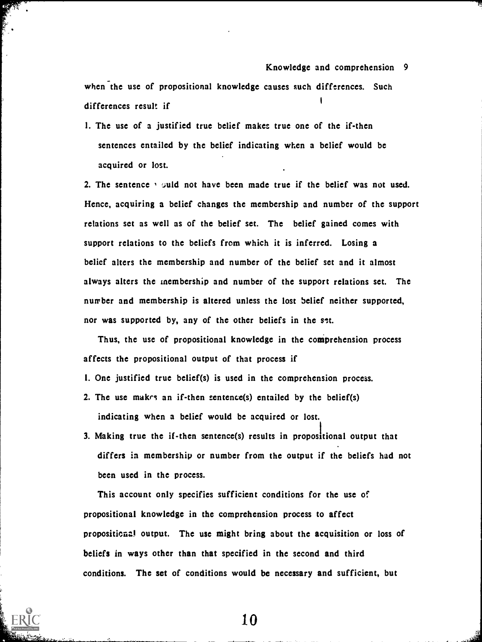when the use of propositional knowledge causes such differences. Such differences result if

1. The use of a justified true belief makes true one of the if-then sentences entailed by the belief indicating when a belief would be acquired or lost.

2. The sentence  $\cdot$  suid not have been made true if the belief was not used. Hence, acquiring a belief changes the membership and number of the support relations set as well as of the belief set. The belief gained comes with support relations to the beliefs from which it is inferred. Losing a belief alters the membership and number of the belief set and it almost always alters the membership and number of the support relations set. The number and membership is altered unless the lost belief neither supported, nor was supported by, any of the other beliefs in the set.

Thus, the use of propositional knowledge in the comprehension process affects the propositional output of that process if

- 1. One justified true belief(s) is used in the comprehension process.
- 2. The use makrs an if-then sentence(s) entailed by the belief(s) indicating when a belief would be acquired or lost.
- 3. Making true the if-then sentence(s) results in propositional output that differs in membership or number from the output if the beliefs had not been used in the process.

This account only specifies sufficient conditions for the use of propositional knowledge in the comprehension process to affect propositional output. The use might bring about the acquisition or loss of beliefs in ways other than that specified in the second and third conditions. The set of conditions would be necessary and sufficient, but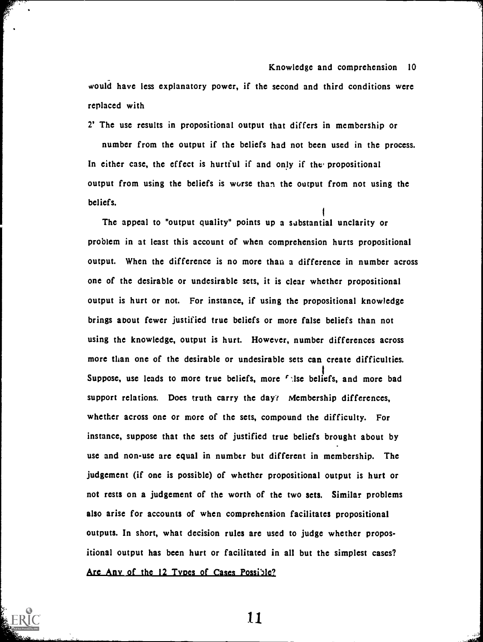would have less explanatory power, if the second and third conditions were replaced with

2' The use results in propositional output that differs in membership or number from the output if the beliefs had not been used in the process. In either case, the effect is hurtful if and only if the propositional output from using the beliefs is worse than the output from not using the beliefs.

The appeal to "output quality" points up a substantial unclarity or problem in at least this account of when comprehension hurts propositional output. When the difference is no more than a difference in number across one of the desirable or undesirable sets, it is clear whether propositional output is hurt or not. For instance, if using the propositional knowledge brings about fewer justified true beliefs or more false beliefs than not using the knowledge, output is hurt. However, number differences across more than one of the desirable or undesirable sets can create difficulties. Suppose, use leads to more true beliefs, more  $f$  ise beliefs, and more bad support relations. Does truth carry the day? Membership differences, whether across one or more of the sets, compound the difficulty. For instance, suppose that the sets of justified true beliefs brought about by use and non-use are equal in number but different in membership. The judgement (if one is possible) of whether propositional output is hurt or not rests on a judgement of the worth of the two sets. Similar problems also arise for accounts of when comprehension facilitates propositional outputs. In short, what decision rules are used to judge whether propositional output has been hurt or facilitated in all but the simplest cases? Are Any of the 12 Types of Cases Possible?

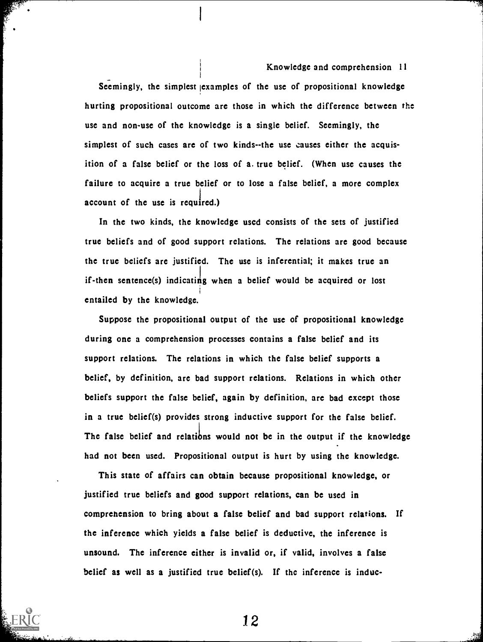Seemingly, the simplest examples of the use of propositional knowledge hurting propositional outcome are those in which the difference between the use and non-use of the knowledge is a single belief. Seemingly, the simplest of such cases are of two kinds--the use causes either the acquisition of a false belief or the loss of a. true belief. (When use causes the failure to acquire a true belief or to lose a false belief, a more complex account of the use is required.)

In the two kinds, the knowledge uscd consists of the sets of justified true beliefs and of good support relations. The relations are good because the true beliefs are justified. The use is inferential; it makes true an if-then sentence(s) indicating when a belief would be acquired or lost 1 entailed by the knowledge.

Suppose the propositional output of the use of propositional knowledge during one a comprehension processes contains a false belief and its support relations. The relations in which the false belief supports a belief, by definition, are bad support relations. Relations in which other beliefs support the false belief, again by definition, are bad except those in a true belief(s) provides strong inductive support for the false belief. The false belief and relations would not be in the output if the knowledge had not been used. Propositional output is hurt by using the knowledge.

This state of affairs can obtain because propositional knowledge, or justified true beliefs and good support relations, can be used in comprehension to bring about a false belief and bad support relations. If the inference which yields a false belief is deductive, the inference is unsound. The inference either is invalid or, if valid, involves a false belief as well as a justified true belief(s). If the inference is induc-

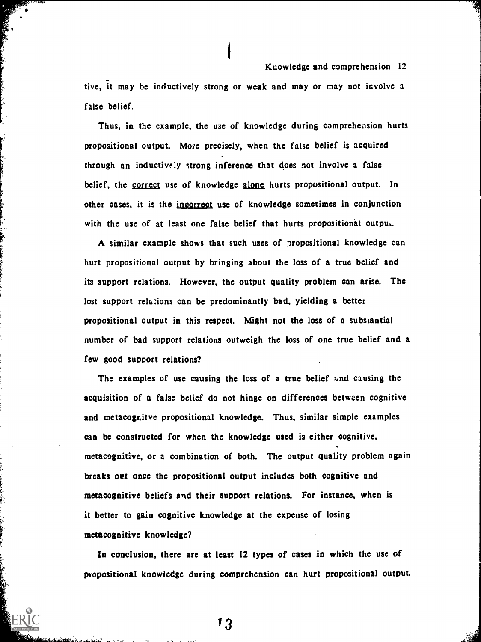tive, it may be inductively strong or weak and may or may not involve a false belief.

Thus, in the example, the use of knowledge during comprehension hurts propositional output. More precisely, when the false belief is acquired through an inductively strong inference that does not involve a false belief, the correct use of knowledge alone hurts propositional output. In other cases, it is the jncorrect use of knowledge sometimes in conjunction with the use of at least one false belief that hurts propositional outpu..

A similar example shows that such uses of propositional knowledge can hurt propositional output by bringing about the loss of a true belief and its support relations. However, the output quality problem can arise. The lost support relations can be predominantly bad, yielding a better propositional output in this respect. Might not the loss of a substantial number of bad support relations outweigh the loss of one true belief and a few good support relations?

The examples of use causing the loss of a true belief and causing the acquisition of a false belief do not hinge on differences between cognitive and metacognitve propositional knowledge. Thus, similar simple examples can be constructed for when the knowledge used is either cognitive, metacognitive, or a combination of both. The output quality problem again breaks out once the propositional output includes both cognitive and metacognitive beliefs and their support relations. For instance, when is it better to gain cognitive knowledge at the expense of losing metacognitive knowledge?

In conclusion, there are at least 12 types of cases in which the use of propositional knowledge during comprehension can hurt propositional output.